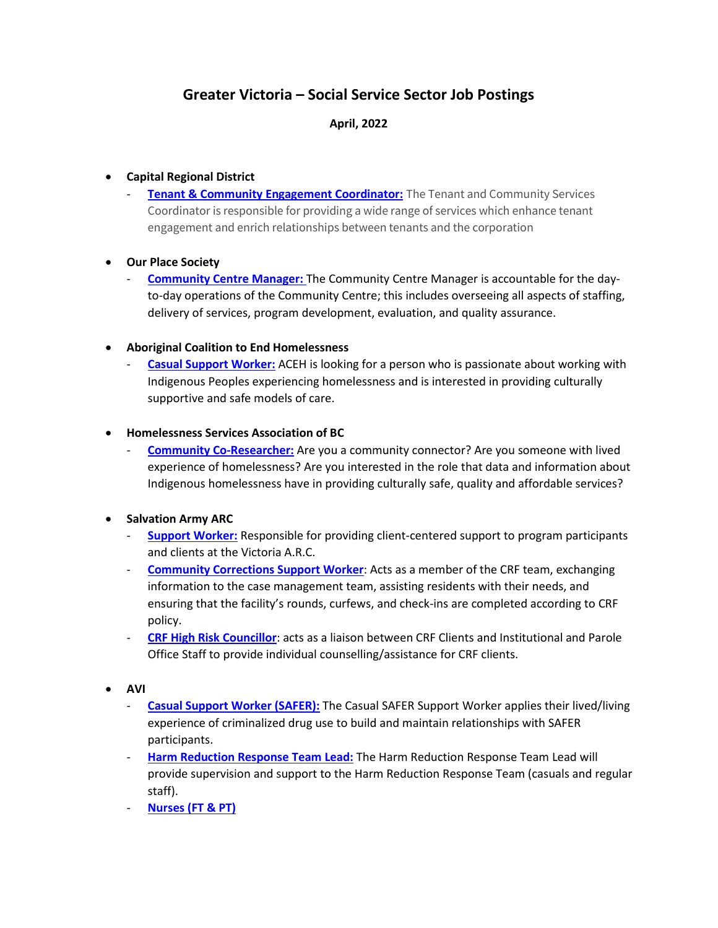# **Greater Victoria – Social Service Sector Job Postings**

## **April, 2022**

#### • **Capital Regional District**

**[Tenant & Community Engagement Coordinator:](https://www.crd.bc.ca/about/careers/current-opportunities/details?id=5660)** The Tenant and Community Services Coordinator is responsible for providing a wide range of services which enhance tenant engagement and enrich relationships between tenants and the corporation

## • **Our Place Society**

- **[Community Centre Manager:](https://www.ourplacesociety.com/careers/https-www-ourplacesociety-com-wp-content-uploads-2022-03-22-34-community-centre-manager-mar22-pdf/)** The Community Centre Manager is accountable for the dayto-day operations of the Community Centre; this includes overseeing all aspects of staffing, delivery of services, program development, evaluation, and quality assurance.

## • **Aboriginal Coalition to End Homelessness**

[Casual Support Worker:](https://acehsociety.com/casual-support-worker/) ACEH is looking for a person who is passionate about working with Indigenous Peoples experiencing homelessness and is interested in providing culturally supportive and safe models of care.

## • **Homelessness Services Association of BC**

- **[Community Co-Researcher:](https://hsa-bc.ca/cgi/page.cgi/_zine.html/Job_Board/Community_Co-Researcher_-_Resilience_Planning)** Are you a community connector? Are you someone with lived experience of homelessness? Are you interested in the role that data and information about Indigenous homelessness have in providing culturally safe, quality and affordable services?

# • **Salvation Army ARC**

- **[Support Worker:](https://ngojobs.ca/job/support-worker/?utm_campaign=google_jobs_apply&utm_source=google_jobs_apply&utm_medium=organic)** Responsible for providing client-centered support to program participants and clients at the Victoria A.R.C.
- **[Community Corrections Support Worker](https://ngojobs.ca/job/community-corrections-support-worker-overnight-8/?utm_campaign=google_jobs_apply&utm_source=google_jobs_apply&utm_medium=organic):** Acts as a member of the CRF team, exchanging information to the case management team, assisting residents with their needs, and ensuring that the facility's rounds, curfews, and check-ins are completed according to CRF policy.
- **[CRF High Risk Councillor](https://nearmejobs.eu/job/crf-high-risk-counsellor-20/?utm_campaign=google_jobs_apply&utm_source=google_jobs_apply&utm_medium=organic)**: acts as a liaison between CRF Clients and Institutional and Parole Office Staff to provide individual counselling/assistance for CRF clients.
- **AVI**
	- **[Casual Support Worker \(SAFER\):](http://avi.org/newsevents/news/were-hiring-casual-safer-support-worker-victoria)** The Casual SAFER Support Worker applies their lived/living experience of criminalized drug use to build and maintain relationships with SAFER participants.
	- **[Harm Reduction Response Team Lead:](http://avi.org/newsevents/news/were-hiring-harm-reduction-response-team-lead-victoria-2-positions)** The Harm Reduction Response Team Lead will provide supervision and support to the Harm Reduction Response Team (casuals and regular staff).
	- **[Nurses \(FT & PT\)](http://avi.org/newsevents/news/were-hiring-safer-nurse-rn-lpn-pt-and-ft-signing-bonus-available)**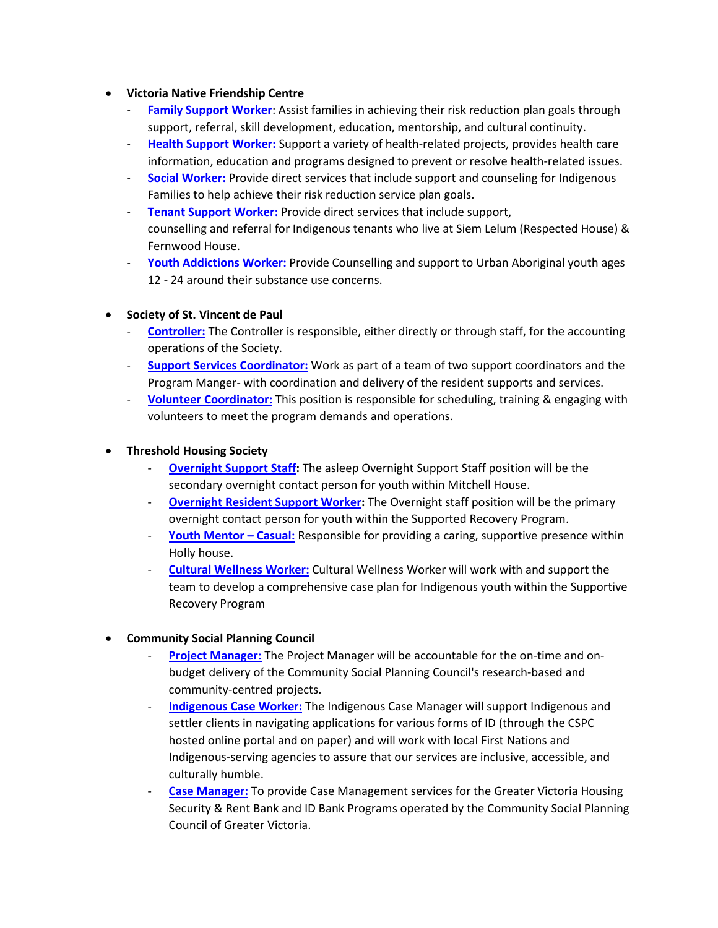#### • **Victoria Native Friendship Centre**

- **[Family Support Worker](https://www.vnfc.ca/downloads/fam-support-worker-feb-22.pdf):** Assist families in achieving their risk reduction plan goals through support, referral, skill development, education, mentorship, and cultural continuity.
- **[Health Support Worker:](https://www.vnfc.ca/downloads/updated_health_suport_worker_job_posting_march_2022.pdf)** Support a variety of health-related projects, provides health care information, education and programs designed to prevent or resolve health-related issues.
- **[Social Worker:](https://www.vnfc.ca/downloads/social-worker-march-2022.pdf)** Provide direct services that include support and counseling for Indigenous Families to help achieve their risk reduction service plan goals.
- **[Tenant Support Worker:](https://www.vnfc.ca/downloads/vnfc_tenant_support_posting_march-2022.pdf)** Provide direct services that include support, counselling and referral for Indigenous tenants who live at Siem Lelum (Respected House) & Fernwood House.
- [Youth Addictions Worker:](https://www.vnfc.ca/downloads/vnfc-youth-addictions-worker-feb-2022.pdf) Provide Counselling and support to Urban Aboriginal youth ages 12 - 24 around their substance use concerns.
- **Society of St. Vincent de Paul**
	- **[Controller:](https://www.ssvpvancouverisland.ca/job-board/view/119-controller)** The Controller is responsible, either directly or through staff, for the accounting operations of the Society.
	- **[Support Services Coordinator:](https://www.ssvpvancouverisland.ca/job-board/view/120-support-services-coordinator)** Work as part of a team of two support coordinators and the Program Manger- with coordination and delivery of the resident supports and services.
	- **[Volunteer Coordinator:](https://www.ssvpvancouverisland.ca/job-board/view/121-volunteer-coordinator-and-administrative-support-social-concern)** This position is responsible for scheduling, training & engaging with volunteers to meet the program demands and operations.
- **Threshold Housing Society**
	- **[Overnight Support Staff:](https://ca.indeed.com/viewjob?cmp=Threshold-Housing-Society&t=Overnight+Support+Staff&jk=06718e4c622c7c8d&q=threshold+housing&vjs=3)** The asleep Overnight Support Staff position will be the secondary overnight contact person for youth within Mitchell House.
	- **[Overnight Resident Support Worker:](https://ca.indeed.com/viewjob?jk=9377d1cb2ea6b483&from=comp-individual-job)** The Overnight staff position will be the primary overnight contact person for youth within the Supported Recovery Program.
	- **[Youth Mentor Casual:](https://ca.indeed.com/viewjob?cmp=Threshold-Housing-Society&t=Youth+Mentor&jk=9e4f1009cd6d68fa&q=threshold+housing&vjs=3)** Responsible for providing a caring, supportive presence within Holly house.
	- **[Cultural Wellness Worker:](https://ca.indeed.com/job/cultural-wellness-worker-68193b7a92baa6ca)** Cultural Wellness Worker will work with and support the team to develop a comprehensive case plan for Indigenous youth within the Supportive Recovery Program

#### • **Community Social Planning Council**

- [Project Manager:](https://communitycouncil.ca/employment-opportunities/) The Project Manager will be accountable for the on-time and onbudget delivery of the Community Social Planning Council's research-based and community-centred projects.
- I**[ndigenous Case Worker:](https://communitycouncil.ca/employment-opportunities/)** The Indigenous Case Manager will support Indigenous and settler clients in navigating applications for various forms of ID (through the CSPC hosted online portal and on paper) and will work with local First Nations and Indigenous-serving agencies to assure that our services are inclusive, accessible, and culturally humble.
- **[Case Manager:](https://communitycouncil.ca/employment-opportunities/)** To provide Case Management services for the Greater Victoria Housing Security & Rent Bank and ID Bank Programs operated by the Community Social Planning Council of Greater Victoria.